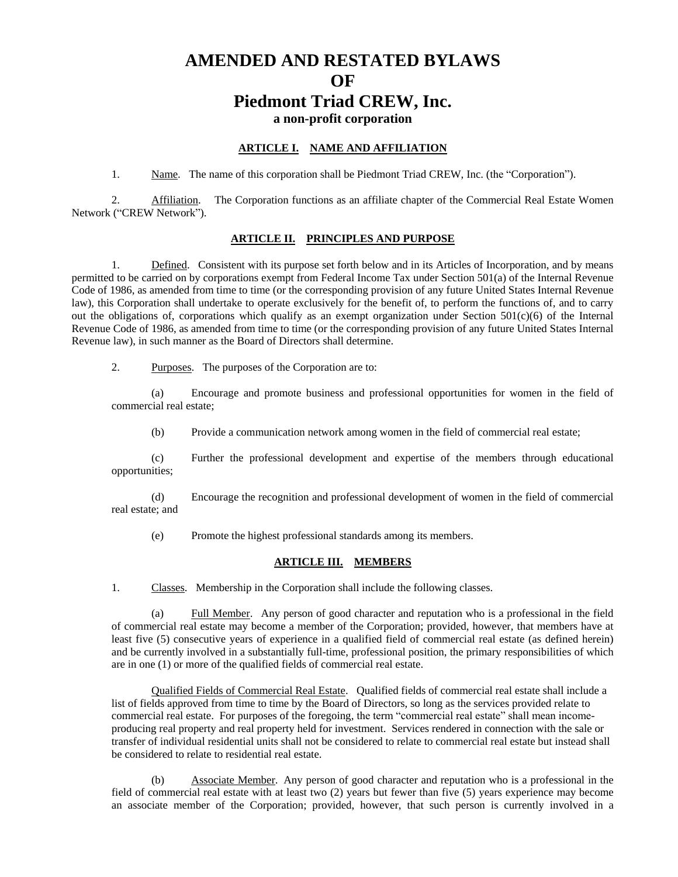# **AMENDED AND RESTATED BYLAWS OF Piedmont Triad CREW, Inc. a non-profit corporation**

#### **ARTICLE I. NAME AND AFFILIATION**

1. Name. The name of this corporation shall be Piedmont Triad CREW, Inc. (the "Corporation").

2. Affiliation. The Corporation functions as an affiliate chapter of the Commercial Real Estate Women Network ("CREW Network").

### **ARTICLE II. PRINCIPLES AND PURPOSE**

1. Defined. Consistent with its purpose set forth below and in its Articles of Incorporation, and by means permitted to be carried on by corporations exempt from Federal Income Tax under Section 501(a) of the Internal Revenue Code of 1986, as amended from time to time (or the corresponding provision of any future United States Internal Revenue law), this Corporation shall undertake to operate exclusively for the benefit of, to perform the functions of, and to carry out the obligations of, corporations which qualify as an exempt organization under Section  $501(c)(6)$  of the Internal Revenue Code of 1986, as amended from time to time (or the corresponding provision of any future United States Internal Revenue law), in such manner as the Board of Directors shall determine.

2. Purposes. The purposes of the Corporation are to:

(a) Encourage and promote business and professional opportunities for women in the field of commercial real estate;

(b) Provide a communication network among women in the field of commercial real estate;

(c) Further the professional development and expertise of the members through educational opportunities;

(d) Encourage the recognition and professional development of women in the field of commercial real estate; and

(e) Promote the highest professional standards among its members.

### **ARTICLE III. MEMBERS**

1. Classes. Membership in the Corporation shall include the following classes.

(a) Full Member. Any person of good character and reputation who is a professional in the field of commercial real estate may become a member of the Corporation; provided, however, that members have at least five (5) consecutive years of experience in a qualified field of commercial real estate (as defined herein) and be currently involved in a substantially full-time, professional position, the primary responsibilities of which are in one (1) or more of the qualified fields of commercial real estate.

Qualified Fields of Commercial Real Estate. Qualified fields of commercial real estate shall include a list of fields approved from time to time by the Board of Directors, so long as the services provided relate to commercial real estate. For purposes of the foregoing, the term "commercial real estate" shall mean incomeproducing real property and real property held for investment. Services rendered in connection with the sale or transfer of individual residential units shall not be considered to relate to commercial real estate but instead shall be considered to relate to residential real estate.

(b) Associate Member. Any person of good character and reputation who is a professional in the field of commercial real estate with at least two (2) years but fewer than five (5) years experience may become an associate member of the Corporation; provided, however, that such person is currently involved in a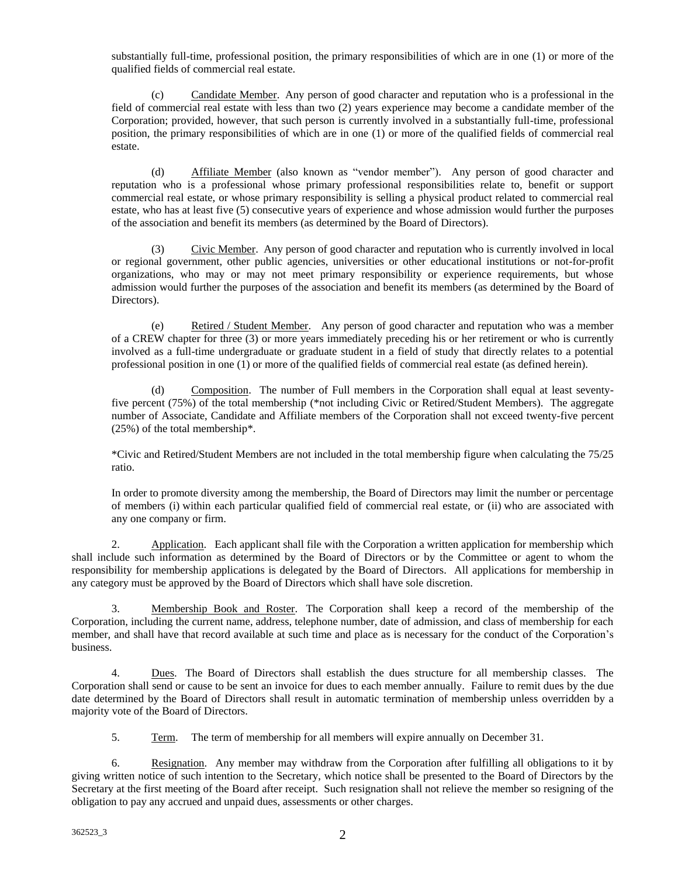substantially full-time, professional position, the primary responsibilities of which are in one (1) or more of the qualified fields of commercial real estate.

(c) Candidate Member. Any person of good character and reputation who is a professional in the field of commercial real estate with less than two (2) years experience may become a candidate member of the Corporation; provided, however, that such person is currently involved in a substantially full-time, professional position, the primary responsibilities of which are in one (1) or more of the qualified fields of commercial real estate.

(d) Affiliate Member (also known as "vendor member"). Any person of good character and reputation who is a professional whose primary professional responsibilities relate to, benefit or support commercial real estate, or whose primary responsibility is selling a physical product related to commercial real estate, who has at least five (5) consecutive years of experience and whose admission would further the purposes of the association and benefit its members (as determined by the Board of Directors).

(3) Civic Member. Any person of good character and reputation who is currently involved in local or regional government, other public agencies, universities or other educational institutions or not-for-profit organizations, who may or may not meet primary responsibility or experience requirements, but whose admission would further the purposes of the association and benefit its members (as determined by the Board of Directors).

(e) Retired / Student Member. Any person of good character and reputation who was a member of a CREW chapter for three (3) or more years immediately preceding his or her retirement or who is currently involved as a full-time undergraduate or graduate student in a field of study that directly relates to a potential professional position in one (1) or more of the qualified fields of commercial real estate (as defined herein).

(d) Composition. The number of Full members in the Corporation shall equal at least seventyfive percent (75%) of the total membership (\*not including Civic or Retired/Student Members). The aggregate number of Associate, Candidate and Affiliate members of the Corporation shall not exceed twenty-five percent (25%) of the total membership\*.

\*Civic and Retired/Student Members are not included in the total membership figure when calculating the 75/25 ratio.

In order to promote diversity among the membership, the Board of Directors may limit the number or percentage of members (i) within each particular qualified field of commercial real estate, or (ii) who are associated with any one company or firm.

2. Application. Each applicant shall file with the Corporation a written application for membership which shall include such information as determined by the Board of Directors or by the Committee or agent to whom the responsibility for membership applications is delegated by the Board of Directors. All applications for membership in any category must be approved by the Board of Directors which shall have sole discretion.

3. Membership Book and Roster. The Corporation shall keep a record of the membership of the Corporation, including the current name, address, telephone number, date of admission, and class of membership for each member, and shall have that record available at such time and place as is necessary for the conduct of the Corporation's business.

4. Dues. The Board of Directors shall establish the dues structure for all membership classes. The Corporation shall send or cause to be sent an invoice for dues to each member annually. Failure to remit dues by the due date determined by the Board of Directors shall result in automatic termination of membership unless overridden by a majority vote of the Board of Directors.

5. Term. The term of membership for all members will expire annually on December 31.

6. Resignation. Any member may withdraw from the Corporation after fulfilling all obligations to it by giving written notice of such intention to the Secretary, which notice shall be presented to the Board of Directors by the Secretary at the first meeting of the Board after receipt. Such resignation shall not relieve the member so resigning of the obligation to pay any accrued and unpaid dues, assessments or other charges.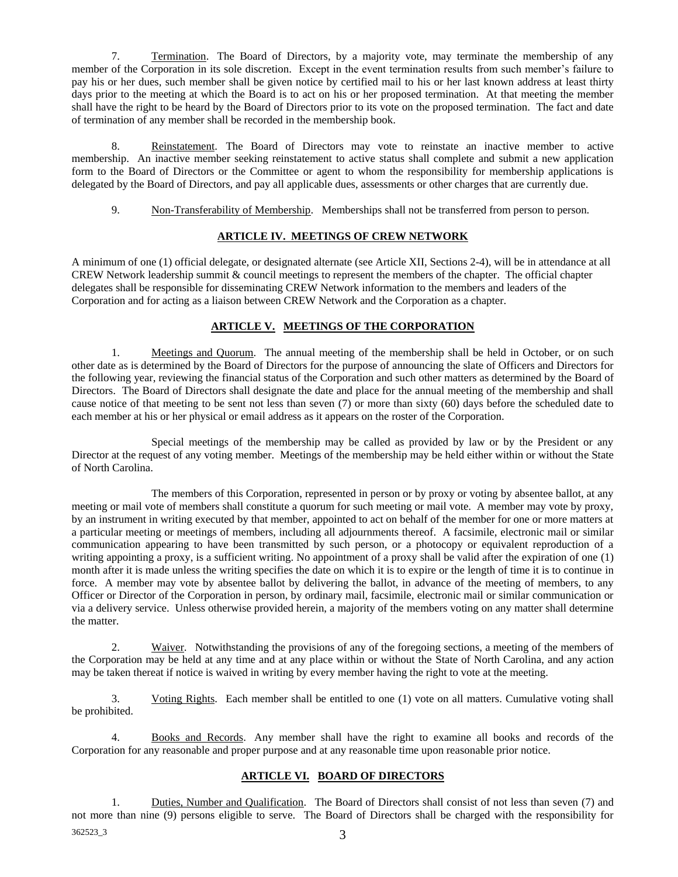7. Termination. The Board of Directors, by a majority vote, may terminate the membership of any member of the Corporation in its sole discretion. Except in the event termination results from such member's failure to pay his or her dues, such member shall be given notice by certified mail to his or her last known address at least thirty days prior to the meeting at which the Board is to act on his or her proposed termination. At that meeting the member shall have the right to be heard by the Board of Directors prior to its vote on the proposed termination. The fact and date of termination of any member shall be recorded in the membership book.

8. Reinstatement. The Board of Directors may vote to reinstate an inactive member to active membership. An inactive member seeking reinstatement to active status shall complete and submit a new application form to the Board of Directors or the Committee or agent to whom the responsibility for membership applications is delegated by the Board of Directors, and pay all applicable dues, assessments or other charges that are currently due.

9. Non-Transferability of Membership. Memberships shall not be transferred from person to person.

### **ARTICLE IV. MEETINGS OF CREW NETWORK**

A minimum of one (1) official delegate, or designated alternate (see Article XII, Sections 2-4), will be in attendance at all CREW Network leadership summit & council meetings to represent the members of the chapter. The official chapter delegates shall be responsible for disseminating CREW Network information to the members and leaders of the Corporation and for acting as a liaison between CREW Network and the Corporation as a chapter.

### **ARTICLE V. MEETINGS OF THE CORPORATION**

1. Meetings and Quorum. The annual meeting of the membership shall be held in October, or on such other date as is determined by the Board of Directors for the purpose of announcing the slate of Officers and Directors for the following year, reviewing the financial status of the Corporation and such other matters as determined by the Board of Directors. The Board of Directors shall designate the date and place for the annual meeting of the membership and shall cause notice of that meeting to be sent not less than seven (7) or more than sixty (60) days before the scheduled date to each member at his or her physical or email address as it appears on the roster of the Corporation.

Special meetings of the membership may be called as provided by law or by the President or any Director at the request of any voting member. Meetings of the membership may be held either within or without the State of North Carolina.

The members of this Corporation, represented in person or by proxy or voting by absentee ballot, at any meeting or mail vote of members shall constitute a quorum for such meeting or mail vote. A member may vote by proxy, by an instrument in writing executed by that member, appointed to act on behalf of the member for one or more matters at a particular meeting or meetings of members, including all adjournments thereof. A facsimile, electronic mail or similar communication appearing to have been transmitted by such person, or a photocopy or equivalent reproduction of a writing appointing a proxy, is a sufficient writing. No appointment of a proxy shall be valid after the expiration of one (1) month after it is made unless the writing specifies the date on which it is to expire or the length of time it is to continue in force. A member may vote by absentee ballot by delivering the ballot, in advance of the meeting of members, to any Officer or Director of the Corporation in person, by ordinary mail, facsimile, electronic mail or similar communication or via a delivery service. Unless otherwise provided herein, a majority of the members voting on any matter shall determine the matter.

2. Waiver. Notwithstanding the provisions of any of the foregoing sections, a meeting of the members of the Corporation may be held at any time and at any place within or without the State of North Carolina, and any action may be taken thereat if notice is waived in writing by every member having the right to vote at the meeting.

3. Voting Rights. Each member shall be entitled to one (1) vote on all matters. Cumulative voting shall be prohibited.

4. Books and Records. Any member shall have the right to examine all books and records of the Corporation for any reasonable and proper purpose and at any reasonable time upon reasonable prior notice.

## **ARTICLE VI. BOARD OF DIRECTORS**

 $362523\_3$  3 1. Duties, Number and Qualification. The Board of Directors shall consist of not less than seven (7) and not more than nine (9) persons eligible to serve. The Board of Directors shall be charged with the responsibility for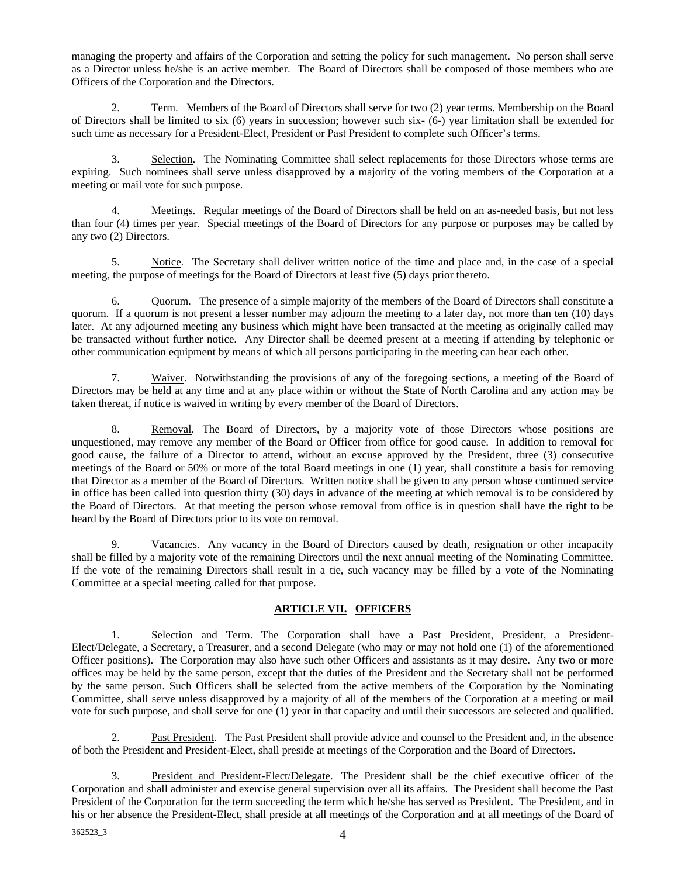managing the property and affairs of the Corporation and setting the policy for such management. No person shall serve as a Director unless he/she is an active member. The Board of Directors shall be composed of those members who are Officers of the Corporation and the Directors.

2. Term. Members of the Board of Directors shall serve for two (2) year terms. Membership on the Board of Directors shall be limited to six (6) years in succession; however such six- (6-) year limitation shall be extended for such time as necessary for a President-Elect, President or Past President to complete such Officer's terms.

3. Selection. The Nominating Committee shall select replacements for those Directors whose terms are expiring. Such nominees shall serve unless disapproved by a majority of the voting members of the Corporation at a meeting or mail vote for such purpose.

4. Meetings. Regular meetings of the Board of Directors shall be held on an as-needed basis, but not less than four (4) times per year. Special meetings of the Board of Directors for any purpose or purposes may be called by any two (2) Directors.

5. Notice. The Secretary shall deliver written notice of the time and place and, in the case of a special meeting, the purpose of meetings for the Board of Directors at least five (5) days prior thereto.

6. Quorum. The presence of a simple majority of the members of the Board of Directors shall constitute a quorum. If a quorum is not present a lesser number may adjourn the meeting to a later day, not more than ten (10) days later. At any adjourned meeting any business which might have been transacted at the meeting as originally called may be transacted without further notice. Any Director shall be deemed present at a meeting if attending by telephonic or other communication equipment by means of which all persons participating in the meeting can hear each other.

7. Waiver. Notwithstanding the provisions of any of the foregoing sections, a meeting of the Board of Directors may be held at any time and at any place within or without the State of North Carolina and any action may be taken thereat, if notice is waived in writing by every member of the Board of Directors.

8. Removal. The Board of Directors, by a majority vote of those Directors whose positions are unquestioned, may remove any member of the Board or Officer from office for good cause. In addition to removal for good cause, the failure of a Director to attend, without an excuse approved by the President, three (3) consecutive meetings of the Board or 50% or more of the total Board meetings in one (1) year, shall constitute a basis for removing that Director as a member of the Board of Directors. Written notice shall be given to any person whose continued service in office has been called into question thirty (30) days in advance of the meeting at which removal is to be considered by the Board of Directors. At that meeting the person whose removal from office is in question shall have the right to be heard by the Board of Directors prior to its vote on removal.

9. Vacancies. Any vacancy in the Board of Directors caused by death, resignation or other incapacity shall be filled by a majority vote of the remaining Directors until the next annual meeting of the Nominating Committee. If the vote of the remaining Directors shall result in a tie, such vacancy may be filled by a vote of the Nominating Committee at a special meeting called for that purpose.

# **ARTICLE VII. OFFICERS**

1. Selection and Term. The Corporation shall have a Past President, President, a President-Elect/Delegate, a Secretary, a Treasurer, and a second Delegate (who may or may not hold one (1) of the aforementioned Officer positions). The Corporation may also have such other Officers and assistants as it may desire. Any two or more offices may be held by the same person, except that the duties of the President and the Secretary shall not be performed by the same person. Such Officers shall be selected from the active members of the Corporation by the Nominating Committee, shall serve unless disapproved by a majority of all of the members of the Corporation at a meeting or mail vote for such purpose, and shall serve for one (1) year in that capacity and until their successors are selected and qualified.

2. Past President. The Past President shall provide advice and counsel to the President and, in the absence of both the President and President-Elect, shall preside at meetings of the Corporation and the Board of Directors.

3. President and President-Elect/Delegate. The President shall be the chief executive officer of the Corporation and shall administer and exercise general supervision over all its affairs. The President shall become the Past President of the Corporation for the term succeeding the term which he/she has served as President. The President, and in his or her absence the President-Elect, shall preside at all meetings of the Corporation and at all meetings of the Board of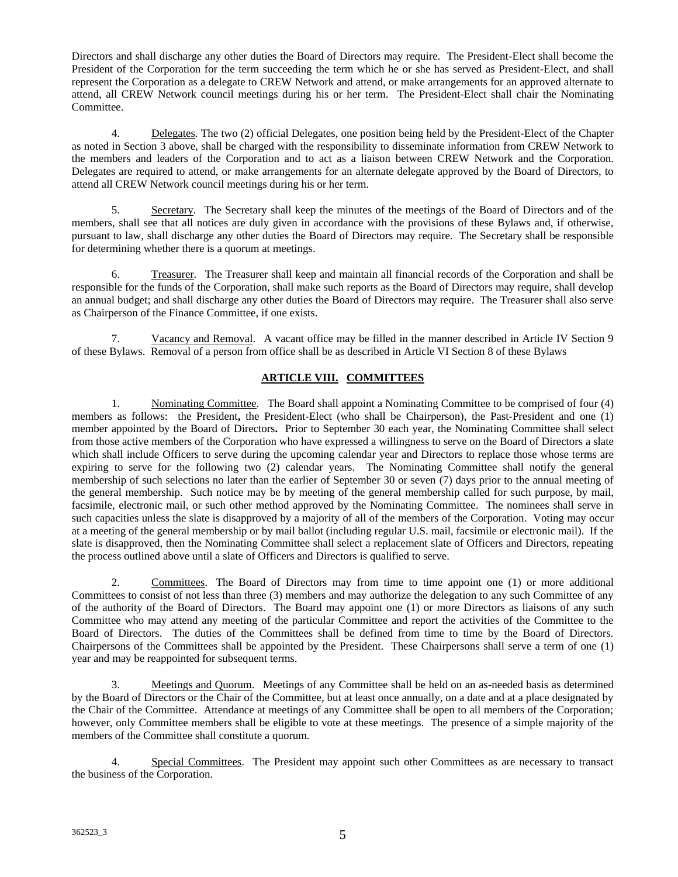Directors and shall discharge any other duties the Board of Directors may require. The President-Elect shall become the President of the Corporation for the term succeeding the term which he or she has served as President-Elect, and shall represent the Corporation as a delegate to CREW Network and attend, or make arrangements for an approved alternate to attend, all CREW Network council meetings during his or her term. The President-Elect shall chair the Nominating Committee.

4. Delegates. The two (2) official Delegates, one position being held by the President-Elect of the Chapter as noted in Section 3 above, shall be charged with the responsibility to disseminate information from CREW Network to the members and leaders of the Corporation and to act as a liaison between CREW Network and the Corporation. Delegates are required to attend, or make arrangements for an alternate delegate approved by the Board of Directors, to attend all CREW Network council meetings during his or her term.

5. Secretary. The Secretary shall keep the minutes of the meetings of the Board of Directors and of the members, shall see that all notices are duly given in accordance with the provisions of these Bylaws and, if otherwise, pursuant to law, shall discharge any other duties the Board of Directors may require. The Secretary shall be responsible for determining whether there is a quorum at meetings.

6. Treasurer. The Treasurer shall keep and maintain all financial records of the Corporation and shall be responsible for the funds of the Corporation, shall make such reports as the Board of Directors may require, shall develop an annual budget; and shall discharge any other duties the Board of Directors may require. The Treasurer shall also serve as Chairperson of the Finance Committee, if one exists.

7. Vacancy and Removal. A vacant office may be filled in the manner described in Article IV Section 9 of these Bylaws. Removal of a person from office shall be as described in Article VI Section 8 of these Bylaws

# **ARTICLE VIII. COMMITTEES**

1. Nominating Committee. The Board shall appoint a Nominating Committee to be comprised of four (4) members as follows: the President**,** the President-Elect (who shall be Chairperson), the Past-President and one (1) member appointed by the Board of Directors**.** Prior to September 30 each year, the Nominating Committee shall select from those active members of the Corporation who have expressed a willingness to serve on the Board of Directors a slate which shall include Officers to serve during the upcoming calendar year and Directors to replace those whose terms are expiring to serve for the following two (2) calendar years. The Nominating Committee shall notify the general membership of such selections no later than the earlier of September 30 or seven (7) days prior to the annual meeting of the general membership. Such notice may be by meeting of the general membership called for such purpose, by mail, facsimile, electronic mail, or such other method approved by the Nominating Committee. The nominees shall serve in such capacities unless the slate is disapproved by a majority of all of the members of the Corporation. Voting may occur at a meeting of the general membership or by mail ballot (including regular U.S. mail, facsimile or electronic mail). If the slate is disapproved, then the Nominating Committee shall select a replacement slate of Officers and Directors, repeating the process outlined above until a slate of Officers and Directors is qualified to serve.

2. Committees. The Board of Directors may from time to time appoint one (1) or more additional Committees to consist of not less than three (3) members and may authorize the delegation to any such Committee of any of the authority of the Board of Directors. The Board may appoint one (1) or more Directors as liaisons of any such Committee who may attend any meeting of the particular Committee and report the activities of the Committee to the Board of Directors. The duties of the Committees shall be defined from time to time by the Board of Directors. Chairpersons of the Committees shall be appointed by the President. These Chairpersons shall serve a term of one (1) year and may be reappointed for subsequent terms.

3. Meetings and Quorum. Meetings of any Committee shall be held on an as-needed basis as determined by the Board of Directors or the Chair of the Committee, but at least once annually, on a date and at a place designated by the Chair of the Committee. Attendance at meetings of any Committee shall be open to all members of the Corporation; however, only Committee members shall be eligible to vote at these meetings. The presence of a simple majority of the members of the Committee shall constitute a quorum.

4. Special Committees. The President may appoint such other Committees as are necessary to transact the business of the Corporation.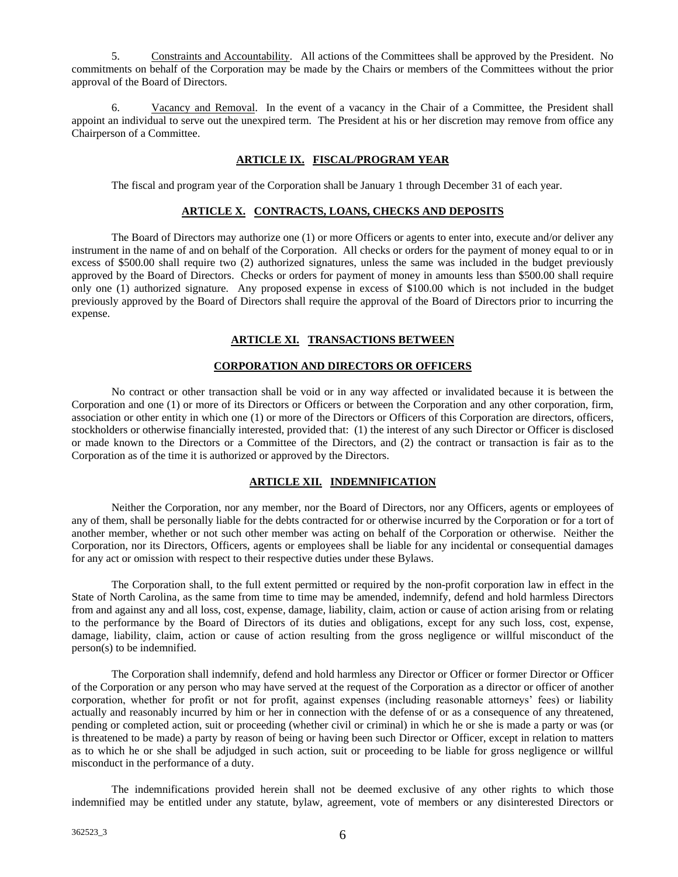5. Constraints and Accountability. All actions of the Committees shall be approved by the President. No commitments on behalf of the Corporation may be made by the Chairs or members of the Committees without the prior approval of the Board of Directors.

6. Vacancy and Removal. In the event of a vacancy in the Chair of a Committee, the President shall appoint an individual to serve out the unexpired term. The President at his or her discretion may remove from office any Chairperson of a Committee.

### **ARTICLE IX. FISCAL/PROGRAM YEAR**

The fiscal and program year of the Corporation shall be January 1 through December 31 of each year.

### **ARTICLE X. CONTRACTS, LOANS, CHECKS AND DEPOSITS**

The Board of Directors may authorize one (1) or more Officers or agents to enter into, execute and/or deliver any instrument in the name of and on behalf of the Corporation. All checks or orders for the payment of money equal to or in excess of \$500.00 shall require two (2) authorized signatures, unless the same was included in the budget previously approved by the Board of Directors. Checks or orders for payment of money in amounts less than \$500.00 shall require only one (1) authorized signature. Any proposed expense in excess of \$100.00 which is not included in the budget previously approved by the Board of Directors shall require the approval of the Board of Directors prior to incurring the expense.

# **ARTICLE XI. TRANSACTIONS BETWEEN**

### **CORPORATION AND DIRECTORS OR OFFICERS**

No contract or other transaction shall be void or in any way affected or invalidated because it is between the Corporation and one (1) or more of its Directors or Officers or between the Corporation and any other corporation, firm, association or other entity in which one (1) or more of the Directors or Officers of this Corporation are directors, officers, stockholders or otherwise financially interested, provided that: (1) the interest of any such Director or Officer is disclosed or made known to the Directors or a Committee of the Directors, and (2) the contract or transaction is fair as to the Corporation as of the time it is authorized or approved by the Directors.

# **ARTICLE XII. INDEMNIFICATION**

Neither the Corporation, nor any member, nor the Board of Directors, nor any Officers, agents or employees of any of them, shall be personally liable for the debts contracted for or otherwise incurred by the Corporation or for a tort of another member, whether or not such other member was acting on behalf of the Corporation or otherwise. Neither the Corporation, nor its Directors, Officers, agents or employees shall be liable for any incidental or consequential damages for any act or omission with respect to their respective duties under these Bylaws.

The Corporation shall, to the full extent permitted or required by the non-profit corporation law in effect in the State of North Carolina, as the same from time to time may be amended, indemnify, defend and hold harmless Directors from and against any and all loss, cost, expense, damage, liability, claim, action or cause of action arising from or relating to the performance by the Board of Directors of its duties and obligations, except for any such loss, cost, expense, damage, liability, claim, action or cause of action resulting from the gross negligence or willful misconduct of the person(s) to be indemnified.

The Corporation shall indemnify, defend and hold harmless any Director or Officer or former Director or Officer of the Corporation or any person who may have served at the request of the Corporation as a director or officer of another corporation, whether for profit or not for profit, against expenses (including reasonable attorneys' fees) or liability actually and reasonably incurred by him or her in connection with the defense of or as a consequence of any threatened, pending or completed action, suit or proceeding (whether civil or criminal) in which he or she is made a party or was (or is threatened to be made) a party by reason of being or having been such Director or Officer, except in relation to matters as to which he or she shall be adjudged in such action, suit or proceeding to be liable for gross negligence or willful misconduct in the performance of a duty.

The indemnifications provided herein shall not be deemed exclusive of any other rights to which those indemnified may be entitled under any statute, bylaw, agreement, vote of members or any disinterested Directors or